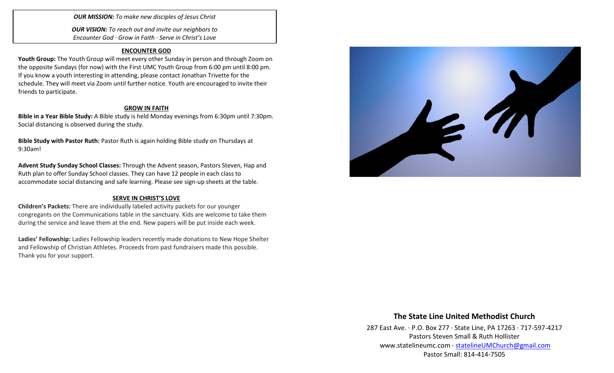*OUR MISSION: To make new disciples of Jesus Christ*

*OUR VISION: To reach out and invite our neighbors to Encounter God · Grow in Faith · Serve in Christ's Love*

### **ENCOUNTER GOD**

**Youth Group:** The Youth Group will meet every other Sunday in person and through Zoom on the opposite Sundays (for now) with the First UMC Youth Group from 6:00 pm until 8:00 pm. If you know a youth interesting in attending, please contact Jonathan Trivette for the schedule. They will meet via Zoom until further notice. Youth are encouraged to invite their friends to participate.

### **GROW IN FAITH**

**Bible in a Year Bible Study:** A Bible study is held Monday evenings from 6:30pm until 7:30pm. Social distancing is observed during the study.

**Bible Study with Pastor Ruth:** Pastor Ruth is again holding Bible study on Thursdays at 9:30am!

**Advent Study Sunday School Classes:** Through the Advent season, Pastors Steven, Hap and Ruth plan to offer Sunday School classes. They can have 12 people in each class to accommodate social distancing and safe learning. Please see sign-up sheets at the table.

### **SERVE IN CHRIST'S LOVE**

**Children's Packets:** There are individually labeled activity packets for our younger congregants on the Communications table in the sanctuary. Kids are welcome to take them during the service and leave them at the end. New papers will be put inside each week.

**Ladies' Fellowship:** Ladies Fellowship leaders recently made donations to New Hope Shelter and Fellowship of Christian Athletes. Proceeds from past fundraisers made this possible. Thank you for your support.



## **The State Line United Methodist Church**

287 East Ave. · P.O. Box 277 · State Line, PA 17263 · 717-597-4217 Pastors Steven Small & Ruth Hollister [www.statelineumc.com](http://www.statelineumc.com/) · [statelineUMChurch@gmail.com](mailto:statelineUMChurch@gmail.com) Pastor Small: 814-414-7505